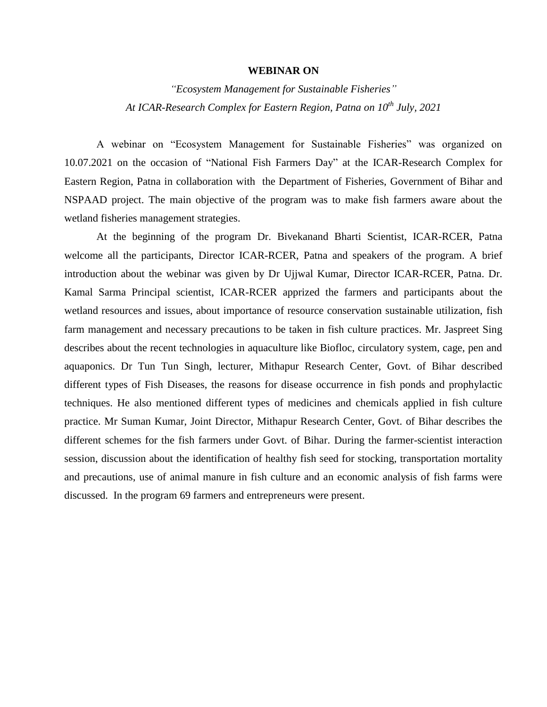## **WEBINAR ON**

*"Ecosystem Management for Sustainable Fisheries" At ICAR-Research Complex for Eastern Region, Patna on 10 th July, 2021*

A webinar on "Ecosystem Management for Sustainable Fisheries" was organized on 10.07.2021 on the occasion of "National Fish Farmers Day" at the ICAR-Research Complex for Eastern Region, Patna in collaboration with the Department of Fisheries, Government of Bihar and NSPAAD project. The main objective of the program was to make fish farmers aware about the wetland fisheries management strategies.

At the beginning of the program Dr. Bivekanand Bharti Scientist, ICAR-RCER, Patna welcome all the participants, Director ICAR-RCER, Patna and speakers of the program. A brief introduction about the webinar was given by Dr Ujjwal Kumar, Director ICAR-RCER, Patna. Dr. Kamal Sarma Principal scientist, ICAR-RCER apprized the farmers and participants about the wetland resources and issues, about importance of resource conservation sustainable utilization, fish farm management and necessary precautions to be taken in fish culture practices. Mr. Jaspreet Sing describes about the recent technologies in aquaculture like Biofloc, circulatory system, cage, pen and aquaponics. Dr Tun Tun Singh, lecturer, Mithapur Research Center, Govt. of Bihar described different types of Fish Diseases, the reasons for disease occurrence in fish ponds and prophylactic techniques. He also mentioned different types of medicines and chemicals applied in fish culture practice. Mr Suman Kumar, Joint Director, Mithapur Research Center, Govt. of Bihar describes the different schemes for the fish farmers under Govt. of Bihar. During the farmer-scientist interaction session, discussion about the identification of healthy fish seed for stocking, transportation mortality and precautions, use of animal manure in fish culture and an economic analysis of fish farms were discussed. In the program 69 farmers and entrepreneurs were present.